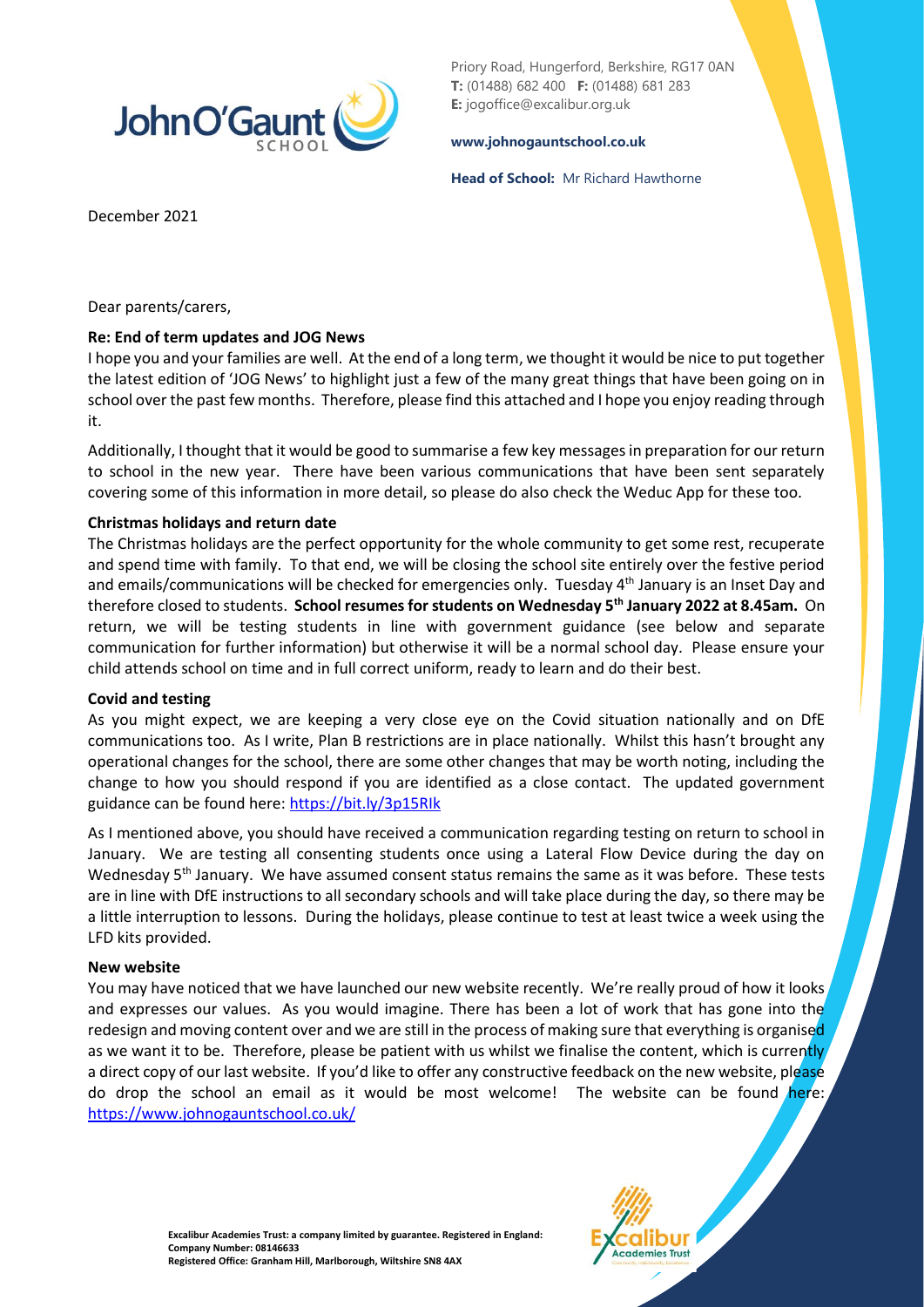

Priory Road, Hungerford, Berkshire, RG17 0AN **T:** (01488) 682 400 **F:** (01488) 681 283 **E:** jogoffice@excalibur.org.uk

#### **[www.johnogauntschool.co.uk](http://www.johnogauntschool.co.uk/)**

**Head of School:** Mr Richard Hawthorne

December 2021

Dear parents/carers,

## **Re: End of term updates and JOG News**

I hope you and your families are well. At the end of a long term, we thought it would be nice to put together the latest edition of 'JOG News' to highlight just a few of the many great things that have been going on in school over the past few months. Therefore, please find this attached and I hope you enjoy reading through it.

Additionally, I thought that it would be good to summarise a few key messages in preparation for our return to school in the new year. There have been various communications that have been sent separately covering some of this information in more detail, so please do also check the Weduc App for these too.

# **Christmas holidays and return date**

The Christmas holidays are the perfect opportunity for the whole community to get some rest, recuperate and spend time with family. To that end, we will be closing the school site entirely over the festive period and emails/communications will be checked for emergencies only. Tuesday 4<sup>th</sup> January is an Inset Day and therefore closed to students. **School resumes for students on Wednesday 5th January 2022 at 8.45am.** On return, we will be testing students in line with government guidance (see below and separate communication for further information) but otherwise it will be a normal school day. Please ensure your child attends school on time and in full correct uniform, ready to learn and do their best.

## **Covid and testing**

As you might expect, we are keeping a very close eye on the Covid situation nationally and on DfE communications too. As I write, Plan B restrictions are in place nationally. Whilst this hasn't brought any operational changes for the school, there are some other changes that may be worth noting, including the change to how you should respond if you are identified as a close contact. The updated government guidance can be found here[: https://bit.ly/3p15RIk](https://bit.ly/3p15RIk)

As I mentioned above, you should have received a communication regarding testing on return to school in January. We are testing all consenting students once using a Lateral Flow Device during the day on Wednesday 5<sup>th</sup> January. We have assumed consent status remains the same as it was before. These tests are in line with DfE instructions to all secondary schools and will take place during the day, so there may be a little interruption to lessons. During the holidays, please continue to test at least twice a week using the LFD kits provided.

## **New website**

You may have noticed that we have launched our new website recently. We're really proud of how it looks and expresses our values. As you would imagine. There has been a lot of work that has gone into the redesign and moving content over and we are still in the process of making sure that everything is organised as we want it to be. Therefore, please be patient with us whilst we finalise the content, which is currently a direct copy of our last website. If you'd like to offer any constructive feedback on the new website, please do drop the school an email as it would be most welcome! The website can be found here: <https://www.johnogauntschool.co.uk/>